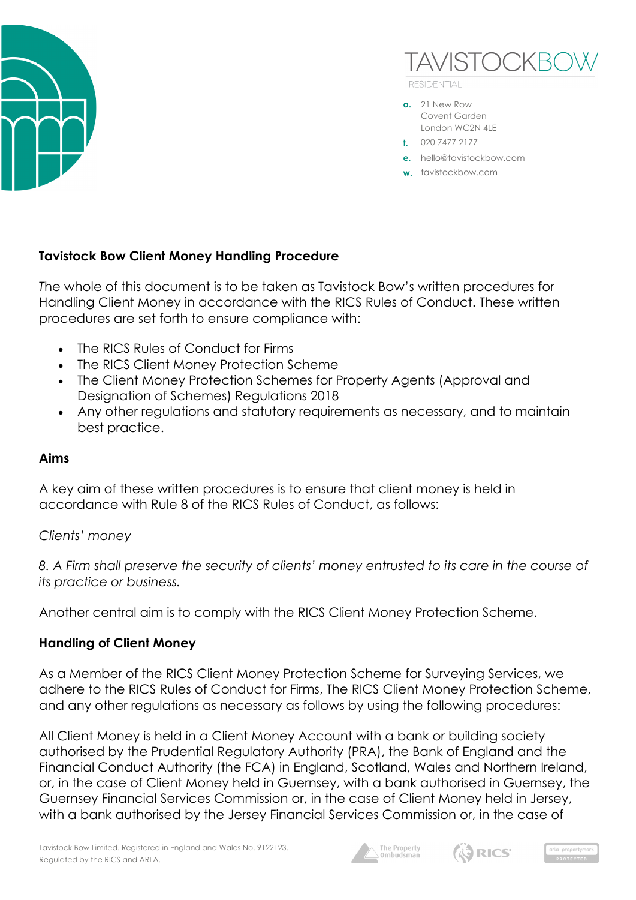



**RESIDENTIAL** 

- **a.** 21 New Row Covent Garden London WC2N 4LE
- **t.** 020 7477 2177
- **e.** hello@tavistockbow.com
- **w.** tavistockbow.com

# **Tavistock Bow Client Money Handling Procedure**

*T*he whole of this document is to be taken as Tavistock Bow's written procedures for Handling Client Money in accordance with the RICS Rules of Conduct. These written procedures are set forth to ensure compliance with:

- The RICS Rules of Conduct for Firms
- The RICS Client Money Protection Scheme
- The Client Money Protection Schemes for Property Agents (Approval and Designation of Schemes) Regulations 2018
- Any other regulations and statutory requirements as necessary, and to maintain best practice.

# **Aims**

A key aim of these written procedures is to ensure that client money is held in accordance with Rule 8 of the RICS Rules of Conduct, as follows:

# *Clients' money*

*8. A Firm shall preserve the security of clients' money entrusted to its care in the course of its practice or business.*

Another central aim is to comply with the RICS Client Money Protection Scheme.

# **Handling of Client Money**

As a Member of the RICS Client Money Protection Scheme for Surveying Services, we adhere to the RICS Rules of Conduct for Firms, The RICS Client Money Protection Scheme, and any other regulations as necessary as follows by using the following procedures:

All Client Money is held in a Client Money Account with a bank or building society authorised by the Prudential Regulatory Authority (PRA), the Bank of England and the Financial Conduct Authority (the FCA) in England, Scotland, Wales and Northern Ireland, or, in the case of Client Money held in Guernsey, with a bank authorised in Guernsey, the Guernsey Financial Services Commission or, in the case of Client Money held in Jersey, with a bank authorised by the Jersey Financial Services Commission or, in the case of





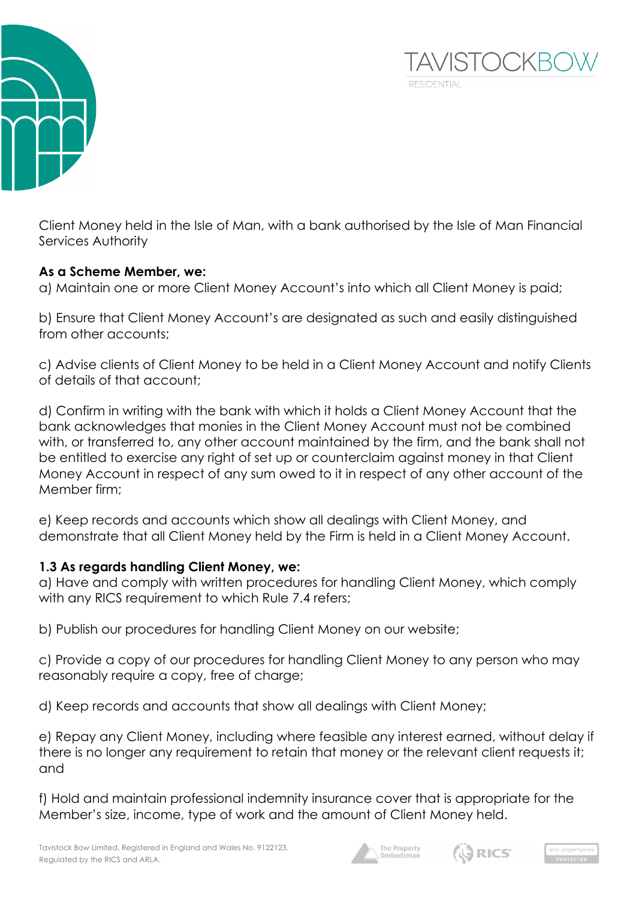



# **As a Scheme Member, we:**

a) Maintain one or more Client Money Account's into which all Client Money is paid;

b) Ensure that Client Money Account's are designated as such and easily distinguished from other accounts;

c) Advise clients of Client Money to be held in a Client Money Account and notify Clients of details of that account;

d) Confirm in writing with the bank with which it holds a Client Money Account that the bank acknowledges that monies in the Client Money Account must not be combined with, or transferred to, any other account maintained by the firm, and the bank shall not be entitled to exercise any right of set up or counterclaim against money in that Client Money Account in respect of any sum owed to it in respect of any other account of the Member firm;

e) Keep records and accounts which show all dealings with Client Money, and demonstrate that all Client Money held by the Firm is held in a Client Money Account.

# **1.3 As regards handling Client Money, we:**

a) Have and comply with written procedures for handling Client Money, which comply with any RICS requirement to which Rule 7.4 refers;

b) Publish our procedures for handling Client Money on our website;

c) Provide a copy of our procedures for handling Client Money to any person who may reasonably require a copy, free of charge;

d) Keep records and accounts that show all dealings with Client Money;

e) Repay any Client Money, including where feasible any interest earned, without delay if there is no longer any requirement to retain that money or the relevant client requests it; and

f) Hold and maintain professional indemnity insurance cover that is appropriate for the Member's size, income, type of work and the amount of Client Money held.





**TAVISTOCKBO**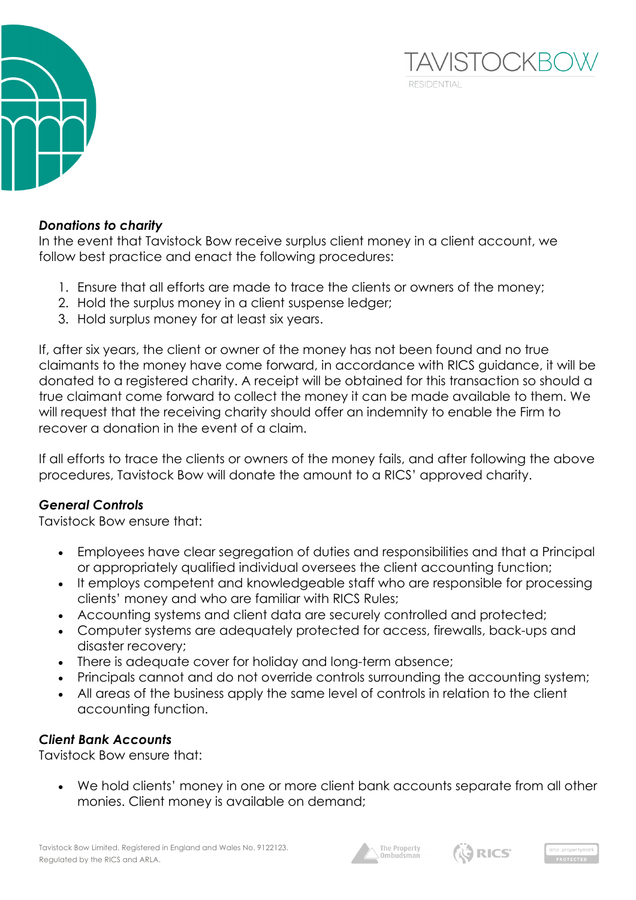

# *Donations to charity*

In the event that Tavistock Bow receive surplus client money in a client account, we follow best practice and enact the following procedures:

- 1. Ensure that all efforts are made to trace the clients or owners of the money;
- 2. Hold the surplus money in a client suspense ledger;
- 3. Hold surplus money for at least six years.

If, after six years, the client or owner of the money has not been found and no true claimants to the money have come forward, in accordance with RICS guidance, it will be donated to a registered charity. A receipt will be obtained for this transaction so should a true claimant come forward to collect the money it can be made available to them. We will request that the receiving charity should offer an indemnity to enable the Firm to recover a donation in the event of a claim.

If all efforts to trace the clients or owners of the money fails, and after following the above procedures, Tavistock Bow will donate the amount to a RICS' approved charity.

# *General Controls*

Tavistock Bow ensure that:

- Employees have clear segregation of duties and responsibilities and that a Principal or appropriately qualified individual oversees the client accounting function;
- It employs competent and knowledgeable staff who are responsible for processing clients' money and who are familiar with RICS Rules;
- Accounting systems and client data are securely controlled and protected;
- Computer systems are adequately protected for access, firewalls, back-ups and disaster recovery;
- There is adequate cover for holiday and long-term absence;
- Principals cannot and do not override controls surrounding the accounting system;
- All areas of the business apply the same level of controls in relation to the client accounting function.

# *Client Bank Accounts*

Tavistock Bow ensure that:

• We hold clients' money in one or more client bank accounts separate from all other monies. Client money is available on demand;





**TAVISTOCKBO** 

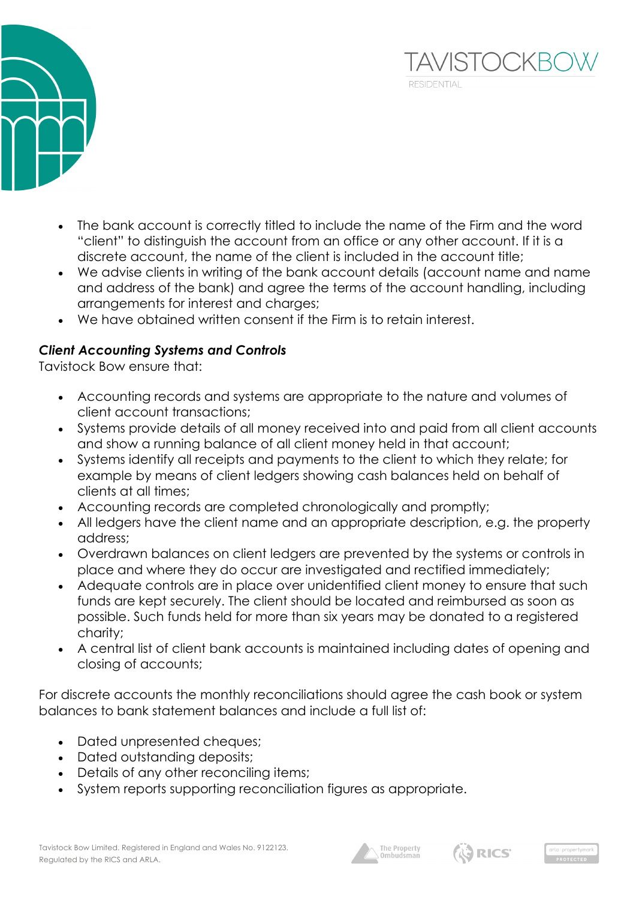

- The bank account is correctly titled to include the name of the Firm and the word "client" to distinguish the account from an office or any other account. If it is a discrete account, the name of the client is included in the account title;
- We advise clients in writing of the bank account details (account name and name and address of the bank) and agree the terms of the account handling, including arrangements for interest and charges;
- We have obtained written consent if the Firm is to retain interest.

# *Client Accounting Systems and Controls*

Tavistock Bow ensure that:

- Accounting records and systems are appropriate to the nature and volumes of client account transactions;
- Systems provide details of all money received into and paid from all client accounts and show a running balance of all client money held in that account;
- Systems identify all receipts and payments to the client to which they relate; for example by means of client ledgers showing cash balances held on behalf of clients at all times;
- Accounting records are completed chronologically and promptly;
- All ledgers have the client name and an appropriate description, e.g. the property address;
- Overdrawn balances on client ledgers are prevented by the systems or controls in place and where they do occur are investigated and rectified immediately;
- Adequate controls are in place over unidentified client money to ensure that such funds are kept securely. The client should be located and reimbursed as soon as possible. Such funds held for more than six years may be donated to a registered charity;
- A central list of client bank accounts is maintained including dates of opening and closing of accounts;

For discrete accounts the monthly reconciliations should agree the cash book or system balances to bank statement balances and include a full list of:

- Dated unpresented cheques;
- Dated outstanding deposits;
- Details of any other reconciling items;
- System reports supporting reconciliation figures as appropriate.





**TAVISTOCKB**